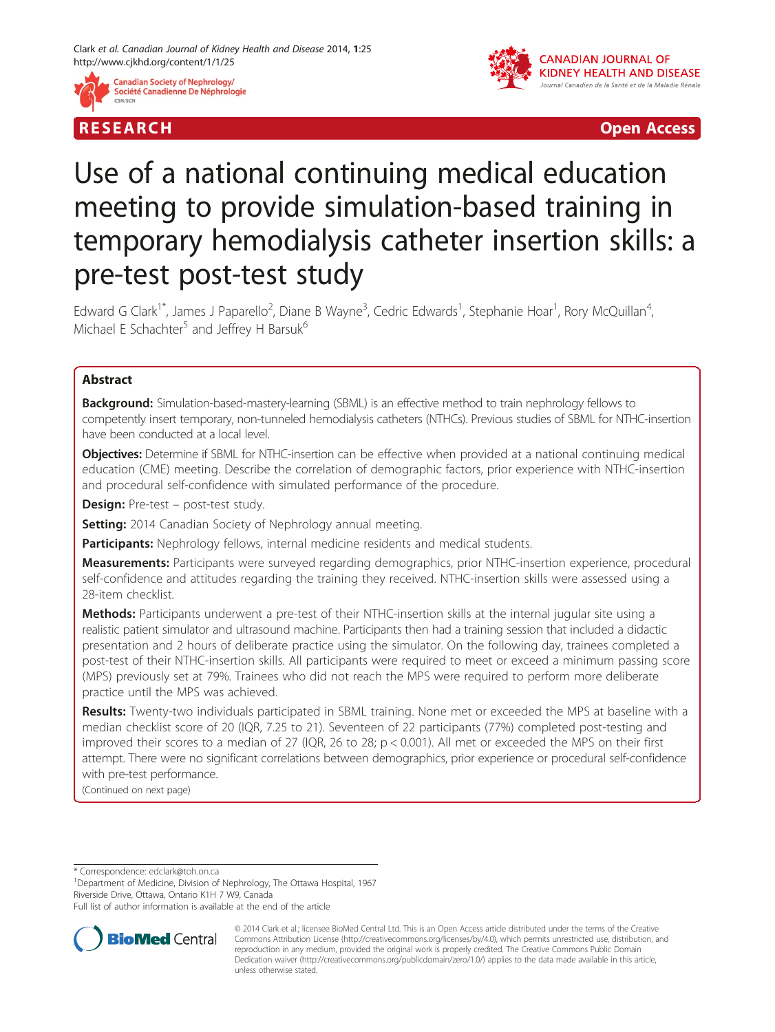





R E S EAR CH Open Access

# Use of a national continuing medical education meeting to provide simulation-based training in temporary hemodialysis catheter insertion skills: a pre-test post-test study

Edward G Clark<sup>1\*</sup>, James J Paparello<sup>2</sup>, Diane B Wayne<sup>3</sup>, Cedric Edwards<sup>1</sup>, Stephanie Hoar<sup>1</sup>, Rory McQuillan<sup>4</sup> , Michael E Schachter<sup>5</sup> and Jeffrey H Barsuk<sup>6</sup>

# Abstract

Background: Simulation-based-mastery-learning (SBML) is an effective method to train nephrology fellows to competently insert temporary, non-tunneled hemodialysis catheters (NTHCs). Previous studies of SBML for NTHC-insertion have been conducted at a local level.

**Objectives:** Determine if SBML for NTHC-insertion can be effective when provided at a national continuing medical education (CME) meeting. Describe the correlation of demographic factors, prior experience with NTHC-insertion and procedural self-confidence with simulated performance of the procedure.

Design: Pre-test - post-test study.

**Setting:** 2014 Canadian Society of Nephrology annual meeting.

Participants: Nephrology fellows, internal medicine residents and medical students.

Measurements: Participants were surveyed regarding demographics, prior NTHC-insertion experience, procedural self-confidence and attitudes regarding the training they received. NTHC-insertion skills were assessed using a 28-item checklist.

Methods: Participants underwent a pre-test of their NTHC-insertion skills at the internal jugular site using a realistic patient simulator and ultrasound machine. Participants then had a training session that included a didactic presentation and 2 hours of deliberate practice using the simulator. On the following day, trainees completed a post-test of their NTHC-insertion skills. All participants were required to meet or exceed a minimum passing score (MPS) previously set at 79%. Trainees who did not reach the MPS were required to perform more deliberate practice until the MPS was achieved.

Results: Twenty-two individuals participated in SBML training. None met or exceeded the MPS at baseline with a median checklist score of 20 (IQR, 7.25 to 21). Seventeen of 22 participants (77%) completed post-testing and improved their scores to a median of 27 (IQR, 26 to 28; p < 0.001). All met or exceeded the MPS on their first attempt. There were no significant correlations between demographics, prior experience or procedural self-confidence with pre-test performance.

(Continued on next page)

\* Correspondence: [edclark@toh.on.ca](mailto:edclark@toh.on.ca) <sup>1</sup>

<sup>1</sup>Department of Medicine, Division of Nephrology, The Ottawa Hospital, 1967 Riverside Drive, Ottawa, Ontario K1H 7 W9, Canada

Full list of author information is available at the end of the article



© 2014 Clark et al.; licensee BioMed Central Ltd. This is an Open Access article distributed under the terms of the Creative Commons Attribution License [\(http://creativecommons.org/licenses/by/4.0\)](http://creativecommons.org/licenses/by/4.0), which permits unrestricted use, distribution, and reproduction in any medium, provided the original work is properly credited. The Creative Commons Public Domain Dedication waiver [\(http://creativecommons.org/publicdomain/zero/1.0/](http://creativecommons.org/publicdomain/zero/1.0/)) applies to the data made available in this article, unless otherwise stated.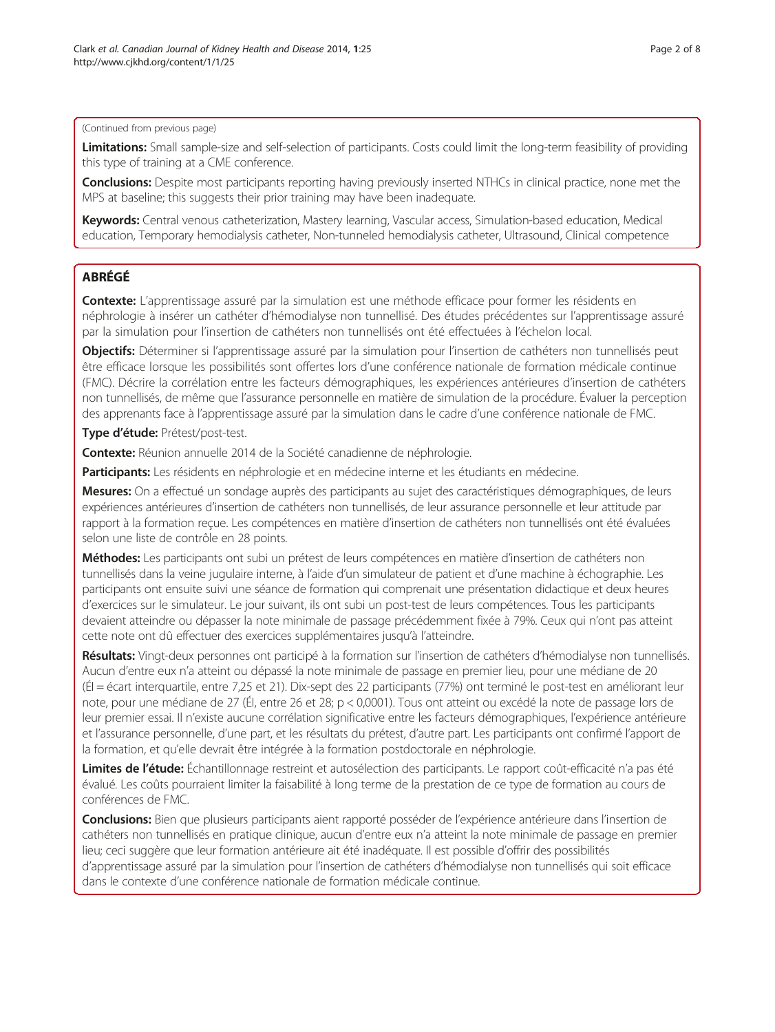# (Continued from previous page)

Limitations: Small sample-size and self-selection of participants. Costs could limit the long-term feasibility of providing this type of training at a CME conference.

Conclusions: Despite most participants reporting having previously inserted NTHCs in clinical practice, none met the MPS at baseline; this suggests their prior training may have been inadequate.

Keywords: Central venous catheterization, Mastery learning, Vascular access, Simulation-based education, Medical education, Temporary hemodialysis catheter, Non-tunneled hemodialysis catheter, Ultrasound, Clinical competence

# ABRÉGÉ

Contexte: L'apprentissage assuré par la simulation est une méthode efficace pour former les résidents en néphrologie à insérer un cathéter d'hémodialyse non tunnellisé. Des études précédentes sur l'apprentissage assuré par la simulation pour l'insertion de cathéters non tunnellisés ont été effectuées à l'échelon local.

Objectifs: Déterminer si l'apprentissage assuré par la simulation pour l'insertion de cathéters non tunnellisés peut être efficace lorsque les possibilités sont offertes lors d'une conférence nationale de formation médicale continue (FMC). Décrire la corrélation entre les facteurs démographiques, les expériences antérieures d'insertion de cathéters non tunnellisés, de même que l'assurance personnelle en matière de simulation de la procédure. Évaluer la perception des apprenants face à l'apprentissage assuré par la simulation dans le cadre d'une conférence nationale de FMC.

# Type d'étude: Prétest/post-test.

Contexte: Réunion annuelle 2014 de la Société canadienne de néphrologie.

Participants: Les résidents en néphrologie et en médecine interne et les étudiants en médecine.

Mesures: On a effectué un sondage auprès des participants au sujet des caractéristiques démographiques, de leurs expériences antérieures d'insertion de cathéters non tunnellisés, de leur assurance personnelle et leur attitude par rapport à la formation reçue. Les compétences en matière d'insertion de cathéters non tunnellisés ont été évaluées selon une liste de contrôle en 28 points.

Méthodes: Les participants ont subi un prétest de leurs compétences en matière d'insertion de cathéters non tunnellisés dans la veine jugulaire interne, à l'aide d'un simulateur de patient et d'une machine à échographie. Les participants ont ensuite suivi une séance de formation qui comprenait une présentation didactique et deux heures d'exercices sur le simulateur. Le jour suivant, ils ont subi un post-test de leurs compétences. Tous les participants devaient atteindre ou dépasser la note minimale de passage précédemment fixée à 79%. Ceux qui n'ont pas atteint cette note ont dû effectuer des exercices supplémentaires jusqu'à l'atteindre.

Résultats: Vingt-deux personnes ont participé à la formation sur l'insertion de cathéters d'hémodialyse non tunnellisés. Aucun d'entre eux n'a atteint ou dépassé la note minimale de passage en premier lieu, pour une médiane de 20 (ÉI = écart interquartile, entre 7,25 et 21). Dix-sept des 22 participants (77%) ont terminé le post-test en améliorant leur note, pour une médiane de 27 (ÉI, entre 26 et 28; p < 0,0001). Tous ont atteint ou excédé la note de passage lors de leur premier essai. Il n'existe aucune corrélation significative entre les facteurs démographiques, l'expérience antérieure et l'assurance personnelle, d'une part, et les résultats du prétest, d'autre part. Les participants ont confirmé l'apport de la formation, et qu'elle devrait être intégrée à la formation postdoctorale en néphrologie.

Limites de l'étude: Échantillonnage restreint et autosélection des participants. Le rapport coût-efficacité n'a pas été évalué. Les coûts pourraient limiter la faisabilité à long terme de la prestation de ce type de formation au cours de conférences de FMC.

Conclusions: Bien que plusieurs participants aient rapporté posséder de l'expérience antérieure dans l'insertion de cathéters non tunnellisés en pratique clinique, aucun d'entre eux n'a atteint la note minimale de passage en premier lieu; ceci suggère que leur formation antérieure ait été inadéquate. Il est possible d'offrir des possibilités d'apprentissage assuré par la simulation pour l'insertion de cathéters d'hémodialyse non tunnellisés qui soit efficace dans le contexte d'une conférence nationale de formation médicale continue.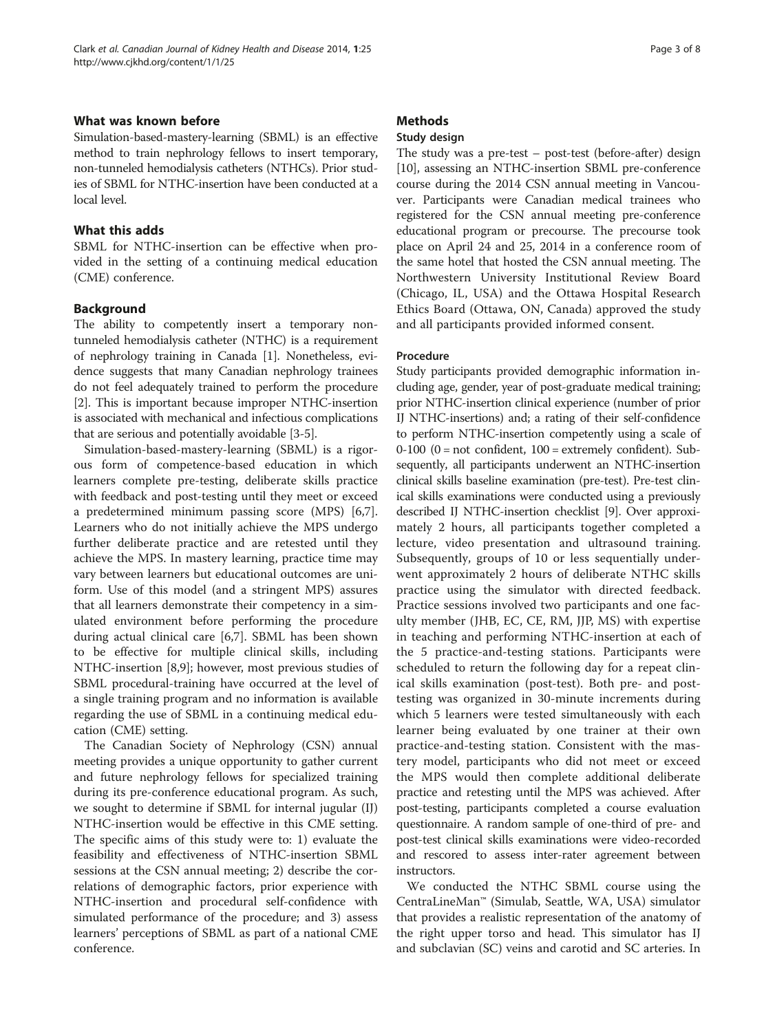# What was known before

Simulation-based-mastery-learning (SBML) is an effective method to train nephrology fellows to insert temporary, non-tunneled hemodialysis catheters (NTHCs). Prior studies of SBML for NTHC-insertion have been conducted at a local level.

# What this adds

SBML for NTHC-insertion can be effective when provided in the setting of a continuing medical education (CME) conference.

# Background

The ability to competently insert a temporary nontunneled hemodialysis catheter (NTHC) is a requirement of nephrology training in Canada [\[1](#page-6-0)]. Nonetheless, evidence suggests that many Canadian nephrology trainees do not feel adequately trained to perform the procedure [[2\]](#page-7-0). This is important because improper NTHC-insertion is associated with mechanical and infectious complications that are serious and potentially avoidable [[3-5\]](#page-7-0).

Simulation-based-mastery-learning (SBML) is a rigorous form of competence-based education in which learners complete pre-testing, deliberate skills practice with feedback and post-testing until they meet or exceed a predetermined minimum passing score (MPS) [\[6,7](#page-7-0)]. Learners who do not initially achieve the MPS undergo further deliberate practice and are retested until they achieve the MPS. In mastery learning, practice time may vary between learners but educational outcomes are uniform. Use of this model (and a stringent MPS) assures that all learners demonstrate their competency in a simulated environment before performing the procedure during actual clinical care [[6](#page-7-0),[7](#page-7-0)]. SBML has been shown to be effective for multiple clinical skills, including NTHC-insertion [\[8,9](#page-7-0)]; however, most previous studies of SBML procedural-training have occurred at the level of a single training program and no information is available regarding the use of SBML in a continuing medical education (CME) setting.

The Canadian Society of Nephrology (CSN) annual meeting provides a unique opportunity to gather current and future nephrology fellows for specialized training during its pre-conference educational program. As such, we sought to determine if SBML for internal jugular (IJ) NTHC-insertion would be effective in this CME setting. The specific aims of this study were to: 1) evaluate the feasibility and effectiveness of NTHC-insertion SBML sessions at the CSN annual meeting; 2) describe the correlations of demographic factors, prior experience with NTHC-insertion and procedural self-confidence with simulated performance of the procedure; and 3) assess learners' perceptions of SBML as part of a national CME conference.

# **Methods**

## Study design

The study was a pre-test – post-test (before-after) design [[10](#page-7-0)], assessing an NTHC-insertion SBML pre-conference course during the 2014 CSN annual meeting in Vancouver. Participants were Canadian medical trainees who registered for the CSN annual meeting pre-conference educational program or precourse. The precourse took place on April 24 and 25, 2014 in a conference room of the same hotel that hosted the CSN annual meeting. The Northwestern University Institutional Review Board (Chicago, IL, USA) and the Ottawa Hospital Research Ethics Board (Ottawa, ON, Canada) approved the study and all participants provided informed consent.

## Procedure

Study participants provided demographic information including age, gender, year of post-graduate medical training; prior NTHC-insertion clinical experience (number of prior IJ NTHC-insertions) and; a rating of their self-confidence to perform NTHC-insertion competently using a scale of  $0-100$  ( $0 =$  not confident,  $100 =$  extremely confident). Subsequently, all participants underwent an NTHC-insertion clinical skills baseline examination (pre-test). Pre-test clinical skills examinations were conducted using a previously described IJ NTHC-insertion checklist [[9](#page-7-0)]. Over approximately 2 hours, all participants together completed a lecture, video presentation and ultrasound training. Subsequently, groups of 10 or less sequentially underwent approximately 2 hours of deliberate NTHC skills practice using the simulator with directed feedback. Practice sessions involved two participants and one faculty member (JHB, EC, CE, RM, JJP, MS) with expertise in teaching and performing NTHC-insertion at each of the 5 practice-and-testing stations. Participants were scheduled to return the following day for a repeat clinical skills examination (post-test). Both pre- and posttesting was organized in 30-minute increments during which 5 learners were tested simultaneously with each learner being evaluated by one trainer at their own practice-and-testing station. Consistent with the mastery model, participants who did not meet or exceed the MPS would then complete additional deliberate practice and retesting until the MPS was achieved. After post-testing, participants completed a course evaluation questionnaire. A random sample of one-third of pre- and post-test clinical skills examinations were video-recorded and rescored to assess inter-rater agreement between instructors.

We conducted the NTHC SBML course using the CentraLineMan™ (Simulab, Seattle, WA, USA) simulator that provides a realistic representation of the anatomy of the right upper torso and head. This simulator has IJ and subclavian (SC) veins and carotid and SC arteries. In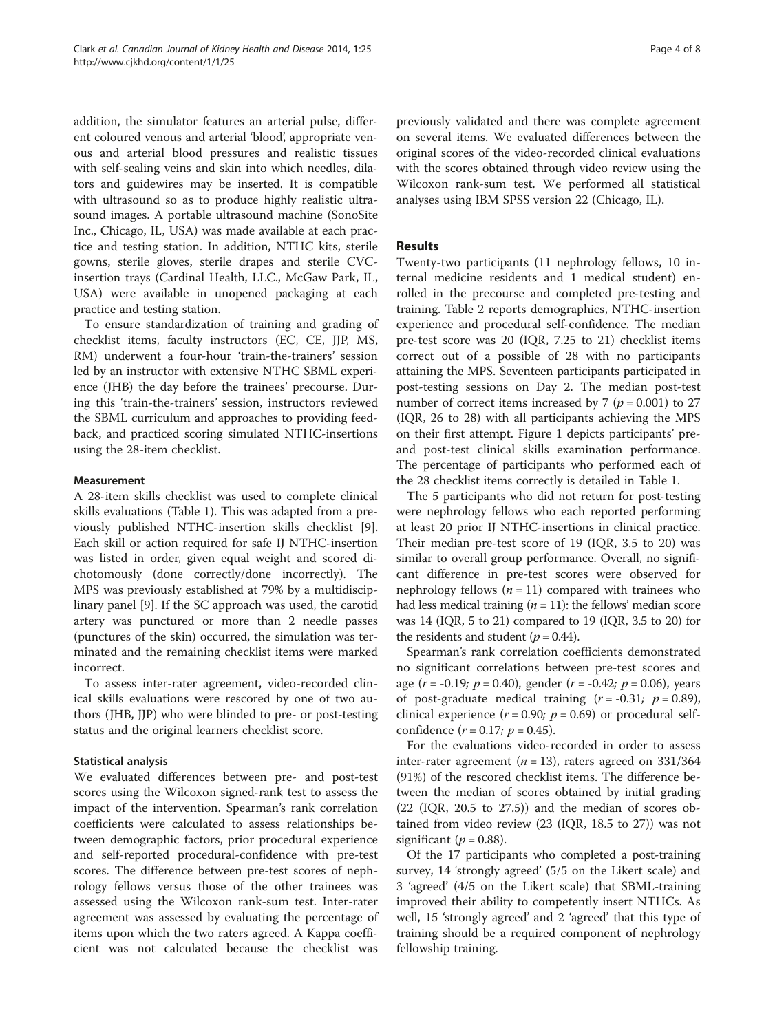addition, the simulator features an arterial pulse, different coloured venous and arterial 'blood', appropriate venous and arterial blood pressures and realistic tissues with self-sealing veins and skin into which needles, dilators and guidewires may be inserted. It is compatible with ultrasound so as to produce highly realistic ultrasound images. A portable ultrasound machine (SonoSite Inc., Chicago, IL, USA) was made available at each practice and testing station. In addition, NTHC kits, sterile gowns, sterile gloves, sterile drapes and sterile CVCinsertion trays (Cardinal Health, LLC., McGaw Park, IL, USA) were available in unopened packaging at each practice and testing station.

To ensure standardization of training and grading of checklist items, faculty instructors (EC, CE, JJP, MS, RM) underwent a four-hour 'train-the-trainers' session led by an instructor with extensive NTHC SBML experience (JHB) the day before the trainees' precourse. During this 'train-the-trainers' session, instructors reviewed the SBML curriculum and approaches to providing feedback, and practiced scoring simulated NTHC-insertions using the 28-item checklist.

## Measurement

A 28-item skills checklist was used to complete clinical skills evaluations (Table [1\)](#page-4-0). This was adapted from a previously published NTHC-insertion skills checklist [\[9](#page-7-0)]. Each skill or action required for safe IJ NTHC-insertion was listed in order, given equal weight and scored dichotomously (done correctly/done incorrectly). The MPS was previously established at 79% by a multidisciplinary panel [[9\]](#page-7-0). If the SC approach was used, the carotid artery was punctured or more than 2 needle passes (punctures of the skin) occurred, the simulation was terminated and the remaining checklist items were marked incorrect.

To assess inter-rater agreement, video-recorded clinical skills evaluations were rescored by one of two authors (JHB, JJP) who were blinded to pre- or post-testing status and the original learners checklist score.

# Statistical analysis

We evaluated differences between pre- and post-test scores using the Wilcoxon signed-rank test to assess the impact of the intervention. Spearman's rank correlation coefficients were calculated to assess relationships between demographic factors, prior procedural experience and self-reported procedural-confidence with pre-test scores. The difference between pre-test scores of nephrology fellows versus those of the other trainees was assessed using the Wilcoxon rank-sum test. Inter-rater agreement was assessed by evaluating the percentage of items upon which the two raters agreed. A Kappa coefficient was not calculated because the checklist was previously validated and there was complete agreement on several items. We evaluated differences between the original scores of the video-recorded clinical evaluations with the scores obtained through video review using the Wilcoxon rank-sum test. We performed all statistical analyses using IBM SPSS version 22 (Chicago, IL).

# Results

Twenty-two participants (11 nephrology fellows, 10 internal medicine residents and 1 medical student) enrolled in the precourse and completed pre-testing and training. Table [2](#page-5-0) reports demographics, NTHC-insertion experience and procedural self-confidence. The median pre-test score was 20 (IQR, 7.25 to 21) checklist items correct out of a possible of 28 with no participants attaining the MPS. Seventeen participants participated in post-testing sessions on Day 2. The median post-test number of correct items increased by 7 ( $p = 0.001$ ) to 27 (IQR, 26 to 28) with all participants achieving the MPS on their first attempt. Figure [1](#page-5-0) depicts participants' preand post-test clinical skills examination performance. The percentage of participants who performed each of the 28 checklist items correctly is detailed in Table [1.](#page-4-0)

The 5 participants who did not return for post-testing were nephrology fellows who each reported performing at least 20 prior IJ NTHC-insertions in clinical practice. Their median pre-test score of 19 (IQR, 3.5 to 20) was similar to overall group performance. Overall, no significant difference in pre-test scores were observed for nephrology fellows  $(n = 11)$  compared with trainees who had less medical training  $(n = 11)$ : the fellows' median score was 14 (IQR, 5 to 21) compared to 19 (IQR, 3.5 to 20) for the residents and student ( $p = 0.44$ ).

Spearman's rank correlation coefficients demonstrated no significant correlations between pre-test scores and age  $(r = -0.19; p = 0.40)$ , gender  $(r = -0.42; p = 0.06)$ , years of post-graduate medical training  $(r = -0.31; p = 0.89)$ , clinical experience  $(r = 0.90; p = 0.69)$  or procedural selfconfidence  $(r = 0.17; p = 0.45)$ .

For the evaluations video-recorded in order to assess inter-rater agreement ( $n = 13$ ), raters agreed on 331/364 (91%) of the rescored checklist items. The difference between the median of scores obtained by initial grading  $(22 \text{ (IQR, 20.5 to 27.5)})$  and the median of scores obtained from video review (23 (IQR, 18.5 to 27)) was not significant ( $p = 0.88$ ).

Of the 17 participants who completed a post-training survey, 14 'strongly agreed' (5/5 on the Likert scale) and 3 'agreed' (4/5 on the Likert scale) that SBML-training improved their ability to competently insert NTHCs. As well, 15 'strongly agreed' and 2 'agreed' that this type of training should be a required component of nephrology fellowship training.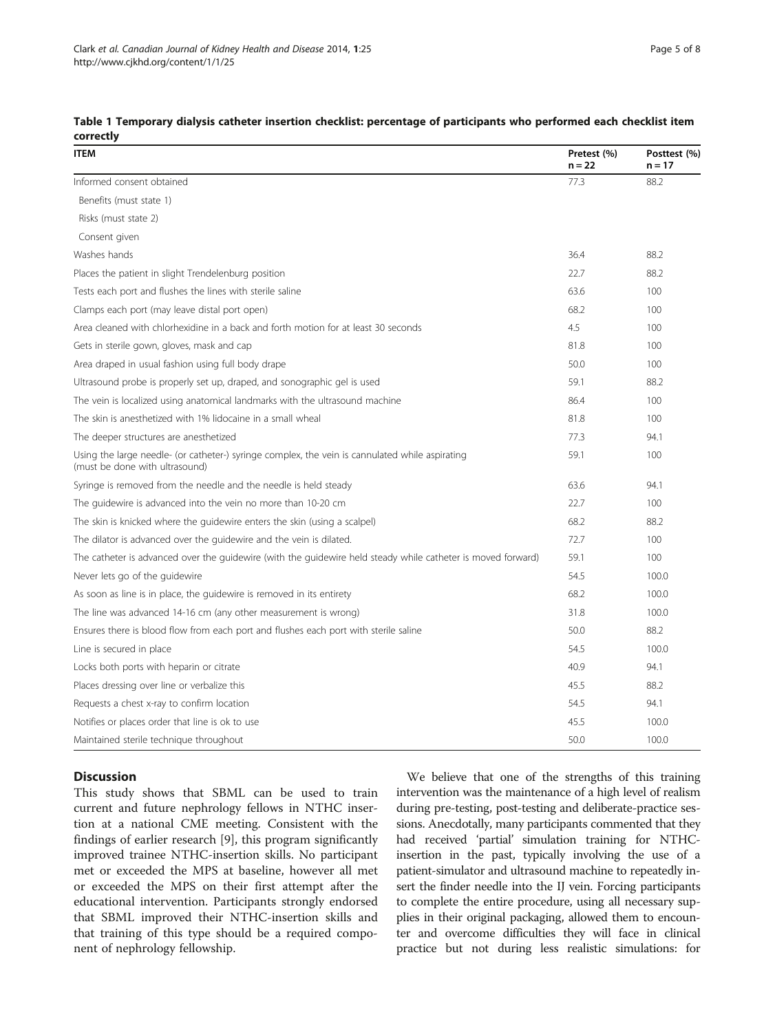| <b>ITEM</b>                                                                                                                       | Pretest (%)<br>$n = 22$ | Posttest (%)<br>$n = 17$ |
|-----------------------------------------------------------------------------------------------------------------------------------|-------------------------|--------------------------|
| Informed consent obtained                                                                                                         | 77.3                    | 88.2                     |
| Benefits (must state 1)                                                                                                           |                         |                          |
| Risks (must state 2)                                                                                                              |                         |                          |
| Consent given                                                                                                                     |                         |                          |
| Washes hands                                                                                                                      | 36.4                    | 88.2                     |
| Places the patient in slight Trendelenburg position                                                                               | 22.7                    | 88.2                     |
| Tests each port and flushes the lines with sterile saline                                                                         | 63.6                    | 100                      |
| Clamps each port (may leave distal port open)                                                                                     | 68.2                    | 100                      |
| Area cleaned with chlorhexidine in a back and forth motion for at least 30 seconds                                                | 4.5                     | 100                      |
| Gets in sterile gown, gloves, mask and cap                                                                                        | 81.8                    | 100                      |
| Area draped in usual fashion using full body drape                                                                                | 50.0                    | 100                      |
| Ultrasound probe is properly set up, draped, and sonographic gel is used                                                          | 59.1                    | 88.2                     |
| The vein is localized using anatomical landmarks with the ultrasound machine                                                      | 86.4                    | 100                      |
| The skin is anesthetized with 1% lidocaine in a small wheal                                                                       | 81.8                    | 100                      |
| The deeper structures are anesthetized                                                                                            | 77.3                    | 94.1                     |
| Using the large needle- (or catheter-) syringe complex, the vein is cannulated while aspirating<br>(must be done with ultrasound) | 59.1                    | 100                      |
| Syringe is removed from the needle and the needle is held steady                                                                  | 63.6                    | 94.1                     |
| The guidewire is advanced into the vein no more than 10-20 cm                                                                     | 22.7                    | 100                      |
| The skin is knicked where the guidewire enters the skin (using a scalpel)                                                         | 68.2                    | 88.2                     |
| The dilator is advanced over the guidewire and the vein is dilated.                                                               | 72.7                    | 100                      |
| The catheter is advanced over the quidewire (with the quidewire held steady while catheter is moved forward)                      | 59.1                    | 100                      |
| Never lets go of the guidewire                                                                                                    | 54.5                    | 100.0                    |
| As soon as line is in place, the guidewire is removed in its entirety                                                             | 68.2                    | 100.0                    |
| The line was advanced 14-16 cm (any other measurement is wrong)                                                                   | 31.8                    | 100.0                    |
| Ensures there is blood flow from each port and flushes each port with sterile saline                                              | 50.0                    | 88.2                     |
| Line is secured in place                                                                                                          | 54.5                    | 100.0                    |
| Locks both ports with heparin or citrate                                                                                          | 40.9                    | 94.1                     |
| Places dressing over line or verbalize this                                                                                       | 45.5                    | 88.2                     |
| Requests a chest x-ray to confirm location                                                                                        | 54.5                    | 94.1                     |
| Notifies or places order that line is ok to use                                                                                   | 45.5                    | 100.0                    |
| Maintained sterile technique throughout                                                                                           | 50.0                    | 100.0                    |

# <span id="page-4-0"></span>Table 1 Temporary dialysis catheter insertion checklist: percentage of participants who performed each checklist item correctly

# **Discussion**

This study shows that SBML can be used to train current and future nephrology fellows in NTHC insertion at a national CME meeting. Consistent with the findings of earlier research [\[9](#page-7-0)], this program significantly improved trainee NTHC-insertion skills. No participant met or exceeded the MPS at baseline, however all met or exceeded the MPS on their first attempt after the educational intervention. Participants strongly endorsed that SBML improved their NTHC-insertion skills and that training of this type should be a required component of nephrology fellowship.

We believe that one of the strengths of this training intervention was the maintenance of a high level of realism during pre-testing, post-testing and deliberate-practice sessions. Anecdotally, many participants commented that they had received 'partial' simulation training for NTHCinsertion in the past, typically involving the use of a patient-simulator and ultrasound machine to repeatedly insert the finder needle into the IJ vein. Forcing participants to complete the entire procedure, using all necessary supplies in their original packaging, allowed them to encounter and overcome difficulties they will face in clinical practice but not during less realistic simulations: for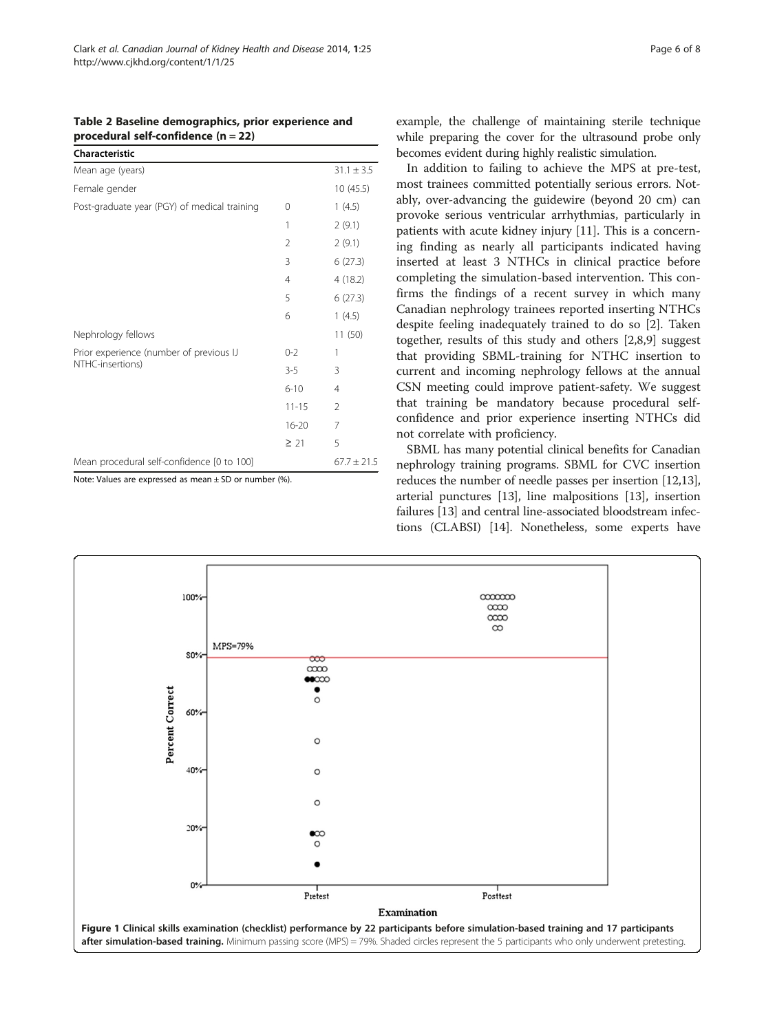<span id="page-5-0"></span>Table 2 Baseline demographics, prior experience and procedural self-confidence (n = 22)

| Characteristic                                              |                |                |
|-------------------------------------------------------------|----------------|----------------|
| Mean age (years)                                            |                | $31.1 \pm 3.5$ |
| Female gender                                               |                | 10(45.5)       |
| Post-graduate year (PGY) of medical training                | 0              | 1(4.5)         |
|                                                             | 1              | 2(9.1)         |
|                                                             | $\overline{2}$ | 2(9.1)         |
|                                                             | 3              | 6(27.3)        |
|                                                             | $\overline{4}$ | 4(18.2)        |
|                                                             | 5              | 6(27.3)        |
|                                                             | 6              | 1(4.5)         |
| Nephrology fellows                                          |                | 11(50)         |
| Prior experience (number of previous IJ<br>NTHC-insertions) | $0 - 2$        | 1              |
|                                                             | $3 - 5$        | 3              |
|                                                             | $6 - 10$       | $\overline{4}$ |
|                                                             | $11 - 15$      | $\mathfrak{D}$ |
|                                                             | $16 - 20$      | 7              |
|                                                             | $\geq 21$      | 5              |
| Mean procedural self-confidence [0 to 100]                  |                | $67.7 + 21.5$  |

Note: Values are expressed as mean ± SD or number (%).

example, the challenge of maintaining sterile technique while preparing the cover for the ultrasound probe only becomes evident during highly realistic simulation.

In addition to failing to achieve the MPS at pre-test, most trainees committed potentially serious errors. Notably, over-advancing the guidewire (beyond 20 cm) can provoke serious ventricular arrhythmias, particularly in patients with acute kidney injury [[11\]](#page-7-0). This is a concerning finding as nearly all participants indicated having inserted at least 3 NTHCs in clinical practice before completing the simulation-based intervention. This confirms the findings of a recent survey in which many Canadian nephrology trainees reported inserting NTHCs despite feeling inadequately trained to do so [[2](#page-7-0)]. Taken together, results of this study and others [[2,8,9\]](#page-7-0) suggest that providing SBML-training for NTHC insertion to current and incoming nephrology fellows at the annual CSN meeting could improve patient-safety. We suggest that training be mandatory because procedural selfconfidence and prior experience inserting NTHCs did not correlate with proficiency.

SBML has many potential clinical benefits for Canadian nephrology training programs. SBML for CVC insertion reduces the number of needle passes per insertion [\[12,13](#page-7-0)], arterial punctures [[13](#page-7-0)], line malpositions [[13](#page-7-0)], insertion failures [\[13\]](#page-7-0) and central line-associated bloodstream infections (CLABSI) [\[14\]](#page-7-0). Nonetheless, some experts have

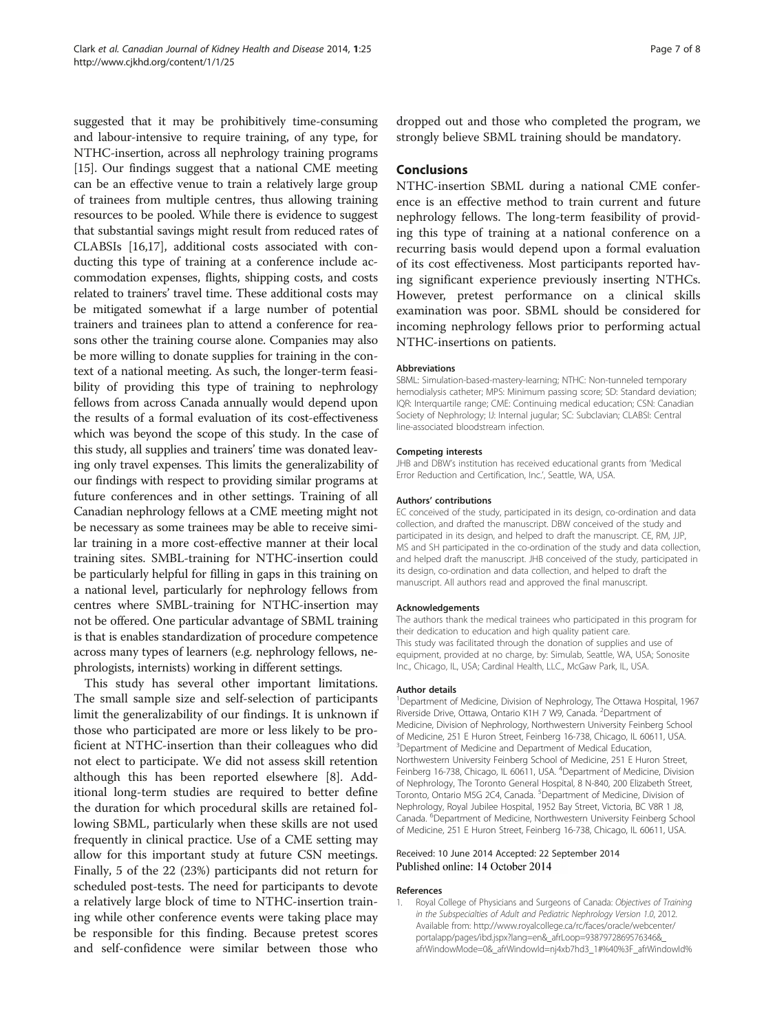<span id="page-6-0"></span>suggested that it may be prohibitively time-consuming and labour-intensive to require training, of any type, for NTHC-insertion, across all nephrology training programs [[15](#page-7-0)]. Our findings suggest that a national CME meeting can be an effective venue to train a relatively large group of trainees from multiple centres, thus allowing training resources to be pooled. While there is evidence to suggest that substantial savings might result from reduced rates of CLABSIs [[16,17](#page-7-0)], additional costs associated with conducting this type of training at a conference include accommodation expenses, flights, shipping costs, and costs related to trainers' travel time. These additional costs may be mitigated somewhat if a large number of potential trainers and trainees plan to attend a conference for reasons other the training course alone. Companies may also be more willing to donate supplies for training in the context of a national meeting. As such, the longer-term feasibility of providing this type of training to nephrology fellows from across Canada annually would depend upon the results of a formal evaluation of its cost-effectiveness which was beyond the scope of this study. In the case of this study, all supplies and trainers' time was donated leaving only travel expenses. This limits the generalizability of our findings with respect to providing similar programs at future conferences and in other settings. Training of all Canadian nephrology fellows at a CME meeting might not be necessary as some trainees may be able to receive similar training in a more cost-effective manner at their local training sites. SMBL-training for NTHC-insertion could be particularly helpful for filling in gaps in this training on a national level, particularly for nephrology fellows from centres where SMBL-training for NTHC-insertion may not be offered. One particular advantage of SBML training is that is enables standardization of procedure competence across many types of learners (e.g. nephrology fellows, nephrologists, internists) working in different settings.

This study has several other important limitations. The small sample size and self-selection of participants limit the generalizability of our findings. It is unknown if those who participated are more or less likely to be proficient at NTHC-insertion than their colleagues who did not elect to participate. We did not assess skill retention although this has been reported elsewhere [\[8](#page-7-0)]. Additional long-term studies are required to better define the duration for which procedural skills are retained following SBML, particularly when these skills are not used frequently in clinical practice. Use of a CME setting may allow for this important study at future CSN meetings. Finally, 5 of the 22 (23%) participants did not return for scheduled post-tests. The need for participants to devote a relatively large block of time to NTHC-insertion training while other conference events were taking place may be responsible for this finding. Because pretest scores and self-confidence were similar between those who

dropped out and those who completed the program, we strongly believe SBML training should be mandatory.

## Conclusions

NTHC-insertion SBML during a national CME conference is an effective method to train current and future nephrology fellows. The long-term feasibility of providing this type of training at a national conference on a recurring basis would depend upon a formal evaluation of its cost effectiveness. Most participants reported having significant experience previously inserting NTHCs. However, pretest performance on a clinical skills examination was poor. SBML should be considered for incoming nephrology fellows prior to performing actual NTHC-insertions on patients.

## Abbreviations

SBML: Simulation-based-mastery-learning; NTHC: Non-tunneled temporary hemodialysis catheter; MPS: Minimum passing score; SD: Standard deviation; IQR: Interquartile range; CME: Continuing medical education; CSN: Canadian Society of Nephrology; IJ: Internal jugular; SC: Subclavian; CLABSI: Central line-associated bloodstream infection.

## Competing interests

JHB and DBW's institution has received educational grants from 'Medical Error Reduction and Certification, Inc.', Seattle, WA, USA.

#### Authors' contributions

EC conceived of the study, participated in its design, co-ordination and data collection, and drafted the manuscript. DBW conceived of the study and participated in its design, and helped to draft the manuscript. CE, RM, JJP, MS and SH participated in the co-ordination of the study and data collection, and helped draft the manuscript. JHB conceived of the study, participated in its design, co-ordination and data collection, and helped to draft the manuscript. All authors read and approved the final manuscript.

### Acknowledgements

The authors thank the medical trainees who participated in this program for their dedication to education and high quality patient care. This study was facilitated through the donation of supplies and use of equipment, provided at no charge, by: Simulab, Seattle, WA, USA; Sonosite Inc., Chicago, IL, USA; Cardinal Health, LLC., McGaw Park, IL, USA.

### Author details

<sup>1</sup>Department of Medicine, Division of Nephrology, The Ottawa Hospital, 1967 Riverside Drive, Ottawa, Ontario K1H 7 W9, Canada. <sup>2</sup>Department of Medicine, Division of Nephrology, Northwestern University Feinberg School of Medicine, 251 E Huron Street, Feinberg 16-738, Chicago, IL 60611, USA. <sup>3</sup> Department of Medicine and Department of Medical Education, Northwestern University Feinberg School of Medicine, 251 E Huron Street, Feinberg 16-738, Chicago, IL 60611, USA. <sup>4</sup>Department of Medicine, Division of Nephrology, The Toronto General Hospital, 8 N-840, 200 Elizabeth Street, Toronto, Ontario M5G 2C4, Canada. <sup>5</sup>Department of Medicine, Division of Nephrology, Royal Jubilee Hospital, 1952 Bay Street, Victoria, BC V8R 1 J8, Canada. <sup>6</sup>Department of Medicine, Northwestern University Feinberg School of Medicine, 251 E Huron Street, Feinberg 16-738, Chicago, IL 60611, USA.

## Received: 10 June 2014 Accepted: 22 September 2014 Published online: 14 October 2014

#### References

1. Royal College of Physicians and Surgeons of Canada: Objectives of Training in the Subspecialties of Adult and Pediatric Nephrology Version 1.0, 2012. Available from: [http://www.royalcollege.ca/rc/faces/oracle/webcenter/](http://www.royalcollege.ca/rc/faces/oracle/webcenter/portalapp/pages/ibd.jspx?lang=en&_afrLoop=9387972869576346&_afrWindowMode=0&_afrWindowId=nj4xb7hd3_1#%40%3F_afrWindowId%3Dnj4xb7hd3_1%26_afrLoop%3D9387972869576346%26lang%3Den%26_afrWindowMode%3D0%26_adf.ctrl-state%3Dnj4xb7hd3_17) [portalapp/pages/ibd.jspx?lang=en&\\_afrLoop=9387972869576346&\\_](http://www.royalcollege.ca/rc/faces/oracle/webcenter/portalapp/pages/ibd.jspx?lang=en&_afrLoop=9387972869576346&_afrWindowMode=0&_afrWindowId=nj4xb7hd3_1#%40%3F_afrWindowId%3Dnj4xb7hd3_1%26_afrLoop%3D9387972869576346%26lang%3Den%26_afrWindowMode%3D0%26_adf.ctrl-state%3Dnj4xb7hd3_17) [afrWindowMode=0&\\_afrWindowId=nj4xb7hd3\\_1#%40%3F\\_afrWindowId%](http://www.royalcollege.ca/rc/faces/oracle/webcenter/portalapp/pages/ibd.jspx?lang=en&_afrLoop=9387972869576346&_afrWindowMode=0&_afrWindowId=nj4xb7hd3_1#%40%3F_afrWindowId%3Dnj4xb7hd3_1%26_afrLoop%3D9387972869576346%26lang%3Den%26_afrWindowMode%3D0%26_adf.ctrl-state%3Dnj4xb7hd3_17)